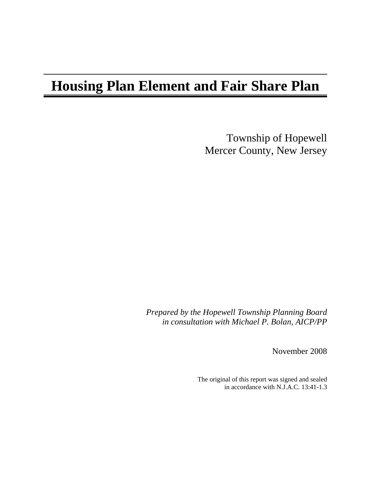# **Housing Plan Element and Fair Share Plan**

Township of Hopewell Mercer County, New Jersey

*Prepared by the Hopewell Township Planning Board in consultation with Michael P. Bolan, AICP/PP* 

November 2008

The original of this report was signed and sealed in accordance with N.J.A.C. 13:41-1.3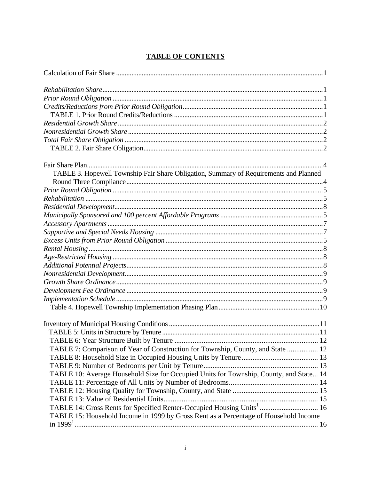# **TABLE OF CONTENTS**

| TABLE 3. Hopewell Township Fair Share Obligation, Summary of Requirements and Planned  |  |
|----------------------------------------------------------------------------------------|--|
|                                                                                        |  |
|                                                                                        |  |
|                                                                                        |  |
|                                                                                        |  |
|                                                                                        |  |
|                                                                                        |  |
|                                                                                        |  |
|                                                                                        |  |
|                                                                                        |  |
|                                                                                        |  |
|                                                                                        |  |
|                                                                                        |  |
|                                                                                        |  |
|                                                                                        |  |
|                                                                                        |  |
|                                                                                        |  |
|                                                                                        |  |
|                                                                                        |  |
|                                                                                        |  |
|                                                                                        |  |
| TABLE 7: Comparison of Year of Construction for Township, County, and State  12        |  |
|                                                                                        |  |
|                                                                                        |  |
| TABLE 10: Average Household Size for Occupied Units for Township, County, and State 14 |  |
|                                                                                        |  |
|                                                                                        |  |
|                                                                                        |  |
| TABLE 14: Gross Rents for Specified Renter-Occupied Housing Units <sup>1</sup> 16      |  |
| TABLE 15: Household Income in 1999 by Gross Rent as a Percentage of Household Income   |  |
|                                                                                        |  |
|                                                                                        |  |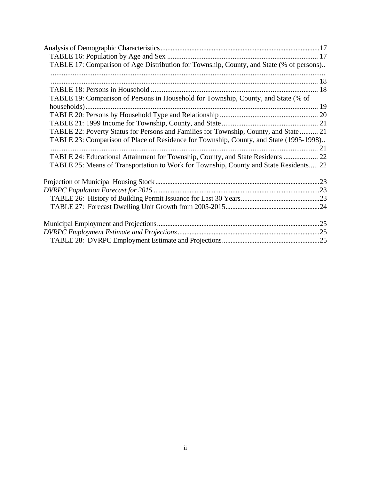| TABLE 17: Comparison of Age Distribution for Township, County, and State (% of persons) |  |
|-----------------------------------------------------------------------------------------|--|
|                                                                                         |  |
|                                                                                         |  |
|                                                                                         |  |
| TABLE 19: Comparison of Persons in Household for Township, County, and State (% of      |  |
|                                                                                         |  |
|                                                                                         |  |
|                                                                                         |  |
| TABLE 22: Poverty Status for Persons and Families for Township, County, and State  21   |  |
| TABLE 23: Comparison of Place of Residence for Township, County, and State (1995-1998)  |  |
|                                                                                         |  |
| TABLE 24: Educational Attainment for Township, County, and State Residents  22          |  |
| TABLE 25: Means of Transportation to Work for Township, County and State Residents 22   |  |
|                                                                                         |  |
|                                                                                         |  |
|                                                                                         |  |
|                                                                                         |  |
|                                                                                         |  |
|                                                                                         |  |
|                                                                                         |  |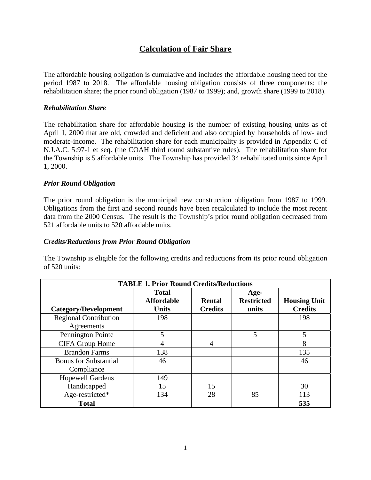# **Calculation of Fair Share**

The affordable housing obligation is cumulative and includes the affordable housing need for the period 1987 to 2018. The affordable housing obligation consists of three components: the rehabilitation share; the prior round obligation (1987 to 1999); and, growth share (1999 to 2018).

## *Rehabilitation Share*

The rehabilitation share for affordable housing is the number of existing housing units as of April 1, 2000 that are old, crowded and deficient and also occupied by households of low- and moderate-income. The rehabilitation share for each municipality is provided in Appendix C of N.J.A.C. 5:97-1 et seq. (the COAH third round substantive rules). The rehabilitation share for the Township is 5 affordable units. The Township has provided 34 rehabilitated units since April 1, 2000.

## *Prior Round Obligation*

The prior round obligation is the municipal new construction obligation from 1987 to 1999. Obligations from the first and second rounds have been recalculated to include the most recent data from the 2000 Census. The result is the Township's prior round obligation decreased from 521 affordable units to 520 affordable units.

#### *Credits/Reductions from Prior Round Obligation*

The Township is eligible for the following credits and reductions from its prior round obligation of 520 units:

| <b>TABLE 1. Prior Round Credits/Reductions</b> |                                                   |                                 |                                    |                                       |  |
|------------------------------------------------|---------------------------------------------------|---------------------------------|------------------------------------|---------------------------------------|--|
| Category/Development                           | <b>Total</b><br><b>Affordable</b><br><b>Units</b> | <b>Rental</b><br><b>Credits</b> | Age-<br><b>Restricted</b><br>units | <b>Housing Unit</b><br><b>Credits</b> |  |
| <b>Regional Contribution</b><br>Agreements     | 198                                               |                                 |                                    | 198                                   |  |
| Pennington Pointe                              | 5                                                 |                                 | 5                                  | 5                                     |  |
| <b>CIFA Group Home</b>                         | 4                                                 | 4                               |                                    | 8                                     |  |
| <b>Brandon Farms</b>                           | 138                                               |                                 |                                    | 135                                   |  |
| <b>Bonus for Substantial</b><br>Compliance     | 46                                                |                                 |                                    | 46                                    |  |
| <b>Hopewell Gardens</b>                        | 149                                               |                                 |                                    |                                       |  |
| Handicapped                                    | 15                                                | 15                              |                                    | 30                                    |  |
| Age-restricted*                                | 134                                               | 28                              | 85                                 | 113                                   |  |
| <b>Total</b>                                   |                                                   |                                 |                                    | 535                                   |  |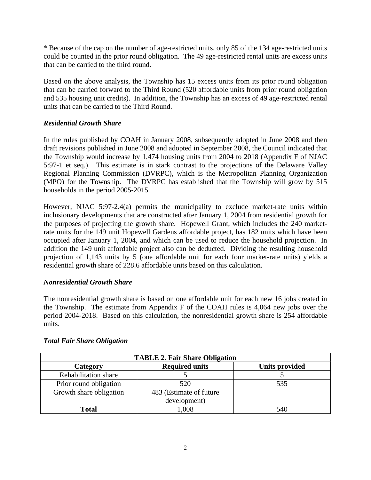\* Because of the cap on the number of age-restricted units, only 85 of the 134 age-restricted units could be counted in the prior round obligation. The 49 age-restricted rental units are excess units that can be carried to the third round.

Based on the above analysis, the Township has 15 excess units from its prior round obligation that can be carried forward to the Third Round (520 affordable units from prior round obligation and 535 housing unit credits). In addition, the Township has an excess of 49 age-restricted rental units that can be carried to the Third Round.

# *Residential Growth Share*

In the rules published by COAH in January 2008, subsequently adopted in June 2008 and then draft revisions published in June 2008 and adopted in September 2008, the Council indicated that the Township would increase by 1,474 housing units from 2004 to 2018 (Appendix F of NJAC 5:97-1 et seq.). This estimate is in stark contrast to the projections of the Delaware Valley Regional Planning Commission (DVRPC), which is the Metropolitan Planning Organization (MPO) for the Township. The DVRPC has established that the Township will grow by 515 households in the period 2005-2015.

However, NJAC 5:97-2.4(a) permits the municipality to exclude market-rate units within inclusionary developments that are constructed after January 1, 2004 from residential growth for the purposes of projecting the growth share. Hopewell Grant, which includes the 240 marketrate units for the 149 unit Hopewell Gardens affordable project, has 182 units which have been occupied after January 1, 2004, and which can be used to reduce the household projection. In addition the 149 unit affordable project also can be deducted. Dividing the resulting household projection of 1,143 units by 5 (one affordable unit for each four market-rate units) yields a residential growth share of 228.6 affordable units based on this calculation.

# *Nonresidential Growth Share*

The nonresidential growth share is based on one affordable unit for each new 16 jobs created in the Township. The estimate from Appendix F of the COAH rules is 4,064 new jobs over the period 2004-2018. Based on this calculation, the nonresidential growth share is 254 affordable units.

| <b>TABLE 2. Fair Share Obligation</b>                      |       |     |  |  |  |  |
|------------------------------------------------------------|-------|-----|--|--|--|--|
| <b>Required units</b><br><b>Units provided</b><br>Category |       |     |  |  |  |  |
| Rehabilitation share                                       |       |     |  |  |  |  |
| Prior round obligation                                     | 520   | 535 |  |  |  |  |
| Growth share obligation<br>483 (Estimate of future         |       |     |  |  |  |  |
| development)                                               |       |     |  |  |  |  |
| <b>Total</b>                                               | 1.008 | 540 |  |  |  |  |

# *Total Fair Share Obligation*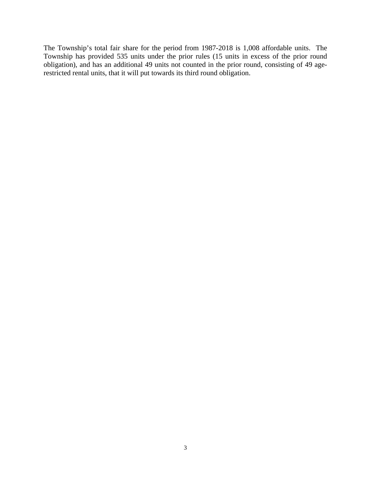The Township's total fair share for the period from 1987-2018 is 1,008 affordable units. The Township has provided 535 units under the prior rules (15 units in excess of the prior round obligation), and has an additional 49 units not counted in the prior round, consisting of 49 agerestricted rental units, that it will put towards its third round obligation.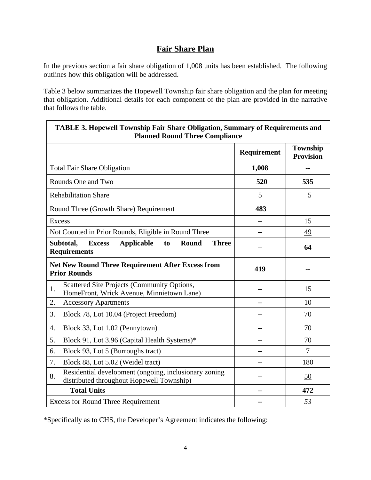# **Fair Share Plan**

In the previous section a fair share obligation of 1,008 units has been established. The following outlines how this obligation will be addressed.

Table 3 below summarizes the Hopewell Township fair share obligation and the plan for meeting that obligation. Additional details for each component of the plan are provided in the narrative that follows the table.

|                  | <b>TABLE 3. Hopewell Township Fair Share Obligation, Summary of Requirements and</b><br><b>Planned Round Three Compliance</b> |             |                                     |  |  |  |
|------------------|-------------------------------------------------------------------------------------------------------------------------------|-------------|-------------------------------------|--|--|--|
|                  |                                                                                                                               | Requirement | <b>Township</b><br><b>Provision</b> |  |  |  |
|                  | <b>Total Fair Share Obligation</b>                                                                                            | 1,008       |                                     |  |  |  |
|                  | Rounds One and Two                                                                                                            | 520         | 535                                 |  |  |  |
|                  | <b>Rehabilitation Share</b>                                                                                                   | 5           | 5                                   |  |  |  |
|                  | Round Three (Growth Share) Requirement                                                                                        | 483         |                                     |  |  |  |
| <b>Excess</b>    |                                                                                                                               | $-$         | 15                                  |  |  |  |
|                  | Not Counted in Prior Rounds, Eligible in Round Three                                                                          | --          | 49                                  |  |  |  |
|                  | Subtotal,<br><b>Excess</b><br><b>Applicable</b><br>Round<br><b>Three</b><br>to<br><b>Requirements</b>                         |             | 64                                  |  |  |  |
|                  | <b>Net New Round Three Requirement After Excess from</b><br><b>Prior Rounds</b>                                               | 419         |                                     |  |  |  |
| 1.               | Scattered Site Projects (Community Options,<br>HomeFront, Wrick Avenue, Minnietown Lane)                                      | --          | 15                                  |  |  |  |
| 2.               | <b>Accessory Apartments</b>                                                                                                   | --          | 10                                  |  |  |  |
| 3.               | Block 78, Lot 10.04 (Project Freedom)                                                                                         | --          | 70                                  |  |  |  |
| $\overline{4}$ . | Block 33, Lot 1.02 (Pennytown)                                                                                                | --          | 70                                  |  |  |  |
| 5.               | Block 91, Lot 3.96 (Capital Health Systems)*                                                                                  |             | 70                                  |  |  |  |
| 6.               | Block 93, Lot 5 (Burroughs tract)                                                                                             | $=$ $-$     | $\tau$                              |  |  |  |
| 7.               | Block 88, Lot 5.02 (Weidel tract)                                                                                             | --          | 180                                 |  |  |  |
| 8.               | Residential development (ongoing, inclusionary zoning<br>distributed throughout Hopewell Township)                            | --          | 50                                  |  |  |  |
|                  | <b>Total Units</b>                                                                                                            |             | 472                                 |  |  |  |
|                  | <b>Excess for Round Three Requirement</b>                                                                                     |             | 53                                  |  |  |  |

\*Specifically as to CHS, the Developer's Agreement indicates the following: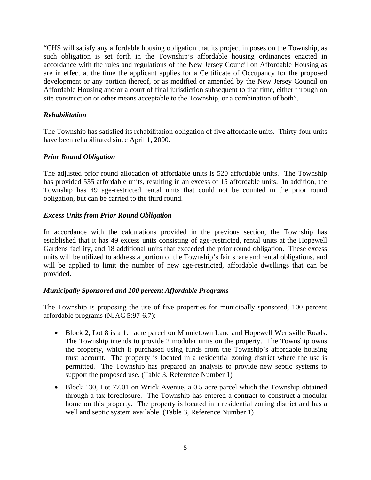"CHS will satisfy any affordable housing obligation that its project imposes on the Township, as such obligation is set forth in the Township's affordable housing ordinances enacted in accordance with the rules and regulations of the New Jersey Council on Affordable Housing as are in effect at the time the applicant applies for a Certificate of Occupancy for the proposed development or any portion thereof, or as modified or amended by the New Jersey Council on Affordable Housing and/or a court of final jurisdiction subsequent to that time, either through on site construction or other means acceptable to the Township, or a combination of both".

## *Rehabilitation*

The Township has satisfied its rehabilitation obligation of five affordable units. Thirty-four units have been rehabilitated since April 1, 2000.

#### *Prior Round Obligation*

The adjusted prior round allocation of affordable units is 520 affordable units. The Township has provided 535 affordable units, resulting in an excess of 15 affordable units. In addition, the Township has 49 age-restricted rental units that could not be counted in the prior round obligation, but can be carried to the third round.

## *Excess Units from Prior Round Obligation*

In accordance with the calculations provided in the previous section, the Township has established that it has 49 excess units consisting of age-restricted, rental units at the Hopewell Gardens facility, and 18 additional units that exceeded the prior round obligation. These excess units will be utilized to address a portion of the Township's fair share and rental obligations, and will be applied to limit the number of new age-restricted, affordable dwellings that can be provided.

# *Municipally Sponsored and 100 percent Affordable Programs*

The Township is proposing the use of five properties for municipally sponsored, 100 percent affordable programs (NJAC 5:97-6.7):

- Block 2, Lot 8 is a 1.1 acre parcel on Minnietown Lane and Hopewell Wertsville Roads. The Township intends to provide 2 modular units on the property. The Township owns the property, which it purchased using funds from the Township's affordable housing trust account. The property is located in a residential zoning district where the use is permitted. The Township has prepared an analysis to provide new septic systems to support the proposed use. (Table 3, Reference Number 1)
- Block 130, Lot 77.01 on Wrick Avenue, a 0.5 acre parcel which the Township obtained through a tax foreclosure. The Township has entered a contract to construct a modular home on this property. The property is located in a residential zoning district and has a well and septic system available. (Table 3, Reference Number 1)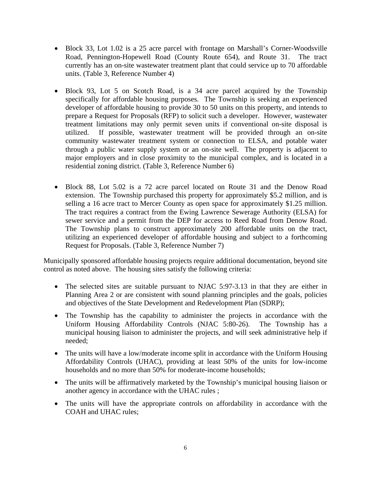- Block 33, Lot 1.02 is a 25 acre parcel with frontage on Marshall's Corner-Woodsville Road, Pennington-Hopewell Road (County Route 654), and Route 31. The tract currently has an on-site wastewater treatment plant that could service up to 70 affordable units. (Table 3, Reference Number 4)
- Block 93, Lot 5 on Scotch Road, is a 34 acre parcel acquired by the Township specifically for affordable housing purposes. The Township is seeking an experienced developer of affordable housing to provide 30 to 50 units on this property, and intends to prepare a Request for Proposals (RFP) to solicit such a developer. However, wastewater treatment limitations may only permit seven units if conventional on-site disposal is utilized. If possible, wastewater treatment will be provided through an on-site community wastewater treatment system or connection to ELSA, and potable water through a public water supply system or an on-site well. The property is adjacent to major employers and in close proximity to the municipal complex, and is located in a residential zoning district. (Table 3, Reference Number 6)
- Block 88, Lot 5.02 is a 72 acre parcel located on Route 31 and the Denow Road extension. The Township purchased this property for approximately \$5.2 million, and is selling a 16 acre tract to Mercer County as open space for approximately \$1.25 million. The tract requires a contract from the Ewing Lawrence Sewerage Authority (ELSA) for sewer service and a permit from the DEP for access to Reed Road from Denow Road. The Township plans to construct approximately 200 affordable units on the tract, utilizing an experienced developer of affordable housing and subject to a forthcoming Request for Proposals. (Table 3, Reference Number 7)

Municipally sponsored affordable housing projects require additional documentation, beyond site control as noted above. The housing sites satisfy the following criteria:

- The selected sites are suitable pursuant to NJAC 5:97-3.13 in that they are either in Planning Area 2 or are consistent with sound planning principles and the goals, policies and objectives of the State Development and Redevelopment Plan (SDRP);
- The Township has the capability to administer the projects in accordance with the Uniform Housing Affordability Controls (NJAC 5:80-26). The Township has a municipal housing liaison to administer the projects, and will seek administrative help if needed;
- The units will have a low/moderate income split in accordance with the Uniform Housing Affordability Controls (UHAC), providing at least 50% of the units for low-income households and no more than 50% for moderate-income households;
- The units will be affirmatively marketed by the Township's municipal housing liaison or another agency in accordance with the UHAC rules ;
- The units will have the appropriate controls on affordability in accordance with the COAH and UHAC rules;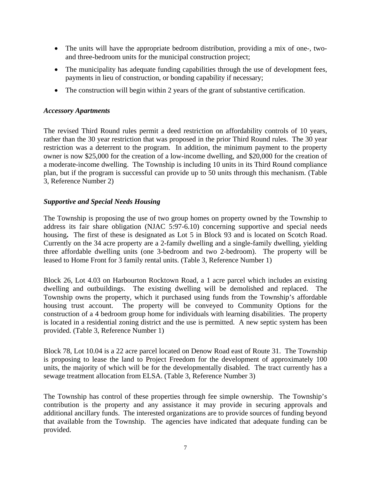- The units will have the appropriate bedroom distribution, providing a mix of one-, twoand three-bedroom units for the municipal construction project;
- The municipality has adequate funding capabilities through the use of development fees, payments in lieu of construction, or bonding capability if necessary;
- The construction will begin within 2 years of the grant of substantive certification.

#### *Accessory Apartments*

The revised Third Round rules permit a deed restriction on affordability controls of 10 years, rather than the 30 year restriction that was proposed in the prior Third Round rules. The 30 year restriction was a deterrent to the program. In addition, the minimum payment to the property owner is now \$25,000 for the creation of a low-income dwelling, and \$20,000 for the creation of a moderate-income dwelling. The Township is including 10 units in its Third Round compliance plan, but if the program is successful can provide up to 50 units through this mechanism. (Table 3, Reference Number 2)

## *Supportive and Special Needs Housing*

The Township is proposing the use of two group homes on property owned by the Township to address its fair share obligation (NJAC 5:97-6.10) concerning supportive and special needs housing. The first of these is designated as Lot 5 in Block 93 and is located on Scotch Road. Currently on the 34 acre property are a 2-family dwelling and a single-family dwelling, yielding three affordable dwelling units (one 3-bedroom and two 2-bedroom). The property will be leased to Home Front for 3 family rental units. (Table 3, Reference Number 1)

Block 26, Lot 4.03 on Harbourton Rocktown Road, a 1 acre parcel which includes an existing dwelling and outbuildings. The existing dwelling will be demolished and replaced. The Township owns the property, which it purchased using funds from the Township's affordable housing trust account. The property will be conveyed to Community Options for the construction of a 4 bedroom group home for individuals with learning disabilities. The property is located in a residential zoning district and the use is permitted. A new septic system has been provided. (Table 3, Reference Number 1)

Block 78, Lot 10.04 is a 22 acre parcel located on Denow Road east of Route 31. The Township is proposing to lease the land to Project Freedom for the development of approximately 100 units, the majority of which will be for the developmentally disabled. The tract currently has a sewage treatment allocation from ELSA. (Table 3, Reference Number 3)

The Township has control of these properties through fee simple ownership. The Township's contribution is the property and any assistance it may provide in securing approvals and additional ancillary funds. The interested organizations are to provide sources of funding beyond that available from the Township. The agencies have indicated that adequate funding can be provided.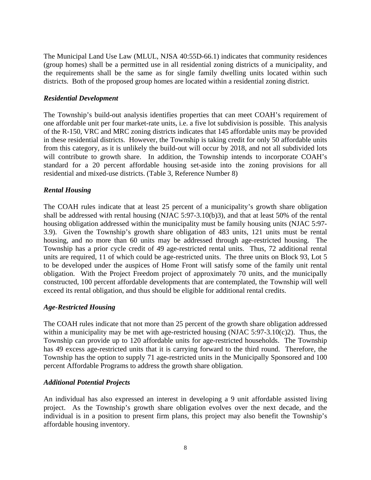The Municipal Land Use Law (MLUL, NJSA 40:55D-66.1) indicates that community residences (group homes) shall be a permitted use in all residential zoning districts of a municipality, and the requirements shall be the same as for single family dwelling units located within such districts. Both of the proposed group homes are located within a residential zoning district.

#### *Residential Development*

The Township's build-out analysis identifies properties that can meet COAH's requirement of one affordable unit per four market-rate units, i.e. a five lot subdivision is possible. This analysis of the R-150, VRC and MRC zoning districts indicates that 145 affordable units may be provided in these residential districts. However, the Township is taking credit for only 50 affordable units from this category, as it is unlikely the build-out will occur by 2018, and not all subdivided lots will contribute to growth share. In addition, the Township intends to incorporate COAH's standard for a 20 percent affordable housing set-aside into the zoning provisions for all residential and mixed-use districts. (Table 3, Reference Number 8)

## *Rental Housing*

The COAH rules indicate that at least 25 percent of a municipality's growth share obligation shall be addressed with rental housing (NJAC 5:97-3.10(b)3), and that at least 50% of the rental housing obligation addressed within the municipality must be family housing units (NJAC 5:97- 3.9). Given the Township's growth share obligation of 483 units, 121 units must be rental housing, and no more than 60 units may be addressed through age-restricted housing. The Township has a prior cycle credit of 49 age-restricted rental units. Thus, 72 additional rental units are required, 11 of which could be age-restricted units. The three units on Block 93, Lot 5 to be developed under the auspices of Home Front will satisfy some of the family unit rental obligation. With the Project Freedom project of approximately 70 units, and the municipally constructed, 100 percent affordable developments that are contemplated, the Township will well exceed its rental obligation, and thus should be eligible for additional rental credits.

#### *Age-Restricted Housing*

The COAH rules indicate that not more than 25 percent of the growth share obligation addressed within a municipality may be met with age-restricted housing (NJAC 5:97-3.10(c)2). Thus, the Township can provide up to 120 affordable units for age-restricted households. The Township has 49 excess age-restricted units that it is carrying forward to the third round. Therefore, the Township has the option to supply 71 age-restricted units in the Municipally Sponsored and 100 percent Affordable Programs to address the growth share obligation.

#### *Additional Potential Projects*

An individual has also expressed an interest in developing a 9 unit affordable assisted living project. As the Township's growth share obligation evolves over the next decade, and the individual is in a position to present firm plans, this project may also benefit the Township's affordable housing inventory.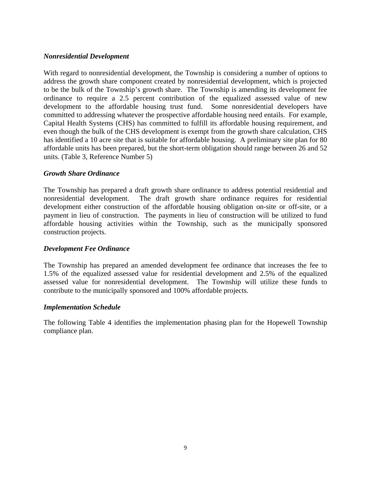#### *Nonresidential Development*

With regard to nonresidential development, the Township is considering a number of options to address the growth share component created by nonresidential development, which is projected to be the bulk of the Township's growth share. The Township is amending its development fee ordinance to require a 2.5 percent contribution of the equalized assessed value of new development to the affordable housing trust fund. Some nonresidential developers have committed to addressing whatever the prospective affordable housing need entails. For example, Capital Health Systems (CHS) has committed to fulfill its affordable housing requirement, and even though the bulk of the CHS development is exempt from the growth share calculation, CHS has identified a 10 acre site that is suitable for affordable housing. A preliminary site plan for 80 affordable units has been prepared, but the short-term obligation should range between 26 and 52 units. (Table 3, Reference Number 5)

#### *Growth Share Ordinance*

The Township has prepared a draft growth share ordinance to address potential residential and nonresidential development. The draft growth share ordinance requires for residential development either construction of the affordable housing obligation on-site or off-site, or a payment in lieu of construction. The payments in lieu of construction will be utilized to fund affordable housing activities within the Township, such as the municipally sponsored construction projects.

#### *Development Fee Ordinance*

The Township has prepared an amended development fee ordinance that increases the fee to 1.5% of the equalized assessed value for residential development and 2.5% of the equalized assessed value for nonresidential development. The Township will utilize these funds to contribute to the municipally sponsored and 100% affordable projects.

#### *Implementation Schedule*

The following Table 4 identifies the implementation phasing plan for the Hopewell Township compliance plan.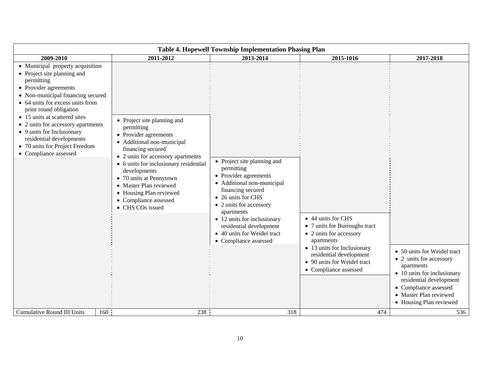| Table 4. Hopewell Township Implementation Phasing Plan                                                                                                                                                                                                                                                                                                                                                |                                                                                                                                                                                                                                                                                                                                                    |                                                                                                                                                                                                                                                                                                        |                                                                                                                                                                                                                |                                                                                                                                                                                                              |  |
|-------------------------------------------------------------------------------------------------------------------------------------------------------------------------------------------------------------------------------------------------------------------------------------------------------------------------------------------------------------------------------------------------------|----------------------------------------------------------------------------------------------------------------------------------------------------------------------------------------------------------------------------------------------------------------------------------------------------------------------------------------------------|--------------------------------------------------------------------------------------------------------------------------------------------------------------------------------------------------------------------------------------------------------------------------------------------------------|----------------------------------------------------------------------------------------------------------------------------------------------------------------------------------------------------------------|--------------------------------------------------------------------------------------------------------------------------------------------------------------------------------------------------------------|--|
| 2009-2010                                                                                                                                                                                                                                                                                                                                                                                             | 2011-2012                                                                                                                                                                                                                                                                                                                                          | 2013-2014                                                                                                                                                                                                                                                                                              | 2015-1016                                                                                                                                                                                                      | 2017-2018                                                                                                                                                                                                    |  |
| • Municipal property acquisition<br>• Project site planning and<br>permitting<br>• Provider agreements<br>• Non-municipal financing secured<br>• 64 units for excess units from<br>prior round obligation<br>• 15 units at scattered sites<br>• 2 units for accessory apartments<br>• 9 units for Inclusionary<br>residential developments<br>• 70 units for Project Freedom<br>• Compliance assessed | • Project site planning and<br>permitting<br>• Provider agreements<br>• Additional non-municipal<br>financing secured<br>• 2 units for accessory apartments<br>• 6 units for inclusionary residential<br>developments<br>• 70 units at Pennytown<br>• Master Plan reviewed<br>• Housing Plan reviewed<br>• Compliance assessed<br>• CHS COs issued | • Project site planning and<br>permitting<br>• Provider agreements<br>• Additional non-municipal<br>financing secured<br>• 26 units for CHS<br>• 2 units for accessory<br>apartments<br>• 12 units for inclusionary<br>residential development<br>• 40 units for Weidel tract<br>• Compliance assessed | • 44 units for CHS<br>• 7 units for Burroughs tract<br>• 2 units for accessory<br>apartments<br>• 13 units for Inclusionary<br>residential development<br>• 90 units for Weidel tract<br>• Compliance assessed | • 50 units for Weidel tract<br>• 2 units for accessory<br>apartments<br>• 10 units for inclusionary<br>residential development<br>• Compliance assessed<br>• Master Plan reviewed<br>• Housing Plan reviewed |  |
| <b>Cumulative Round III Units</b>                                                                                                                                                                                                                                                                                                                                                                     | 238<br>160                                                                                                                                                                                                                                                                                                                                         | 318                                                                                                                                                                                                                                                                                                    | 474                                                                                                                                                                                                            | 536                                                                                                                                                                                                          |  |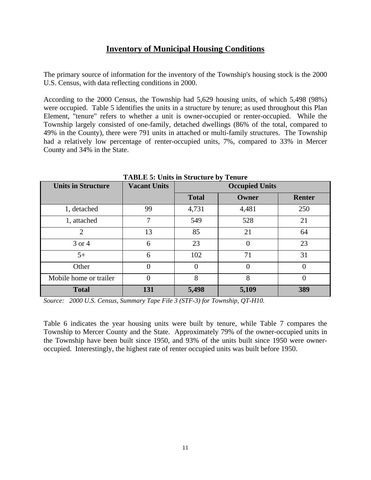# **Inventory of Municipal Housing Conditions**

The primary source of information for the inventory of the Township's housing stock is the 2000 U.S. Census, with data reflecting conditions in 2000.

According to the 2000 Census, the Township had 5,629 housing units, of which 5,498 (98%) were occupied. Table 5 identifies the units in a structure by tenure; as used throughout this Plan Element, "tenure" refers to whether a unit is owner-occupied or renter-occupied. While the Township largely consisted of one-family, detached dwellings (86% of the total, compared to 49% in the County), there were 791 units in attached or multi-family structures. The Township had a relatively low percentage of renter-occupied units, 7%, compared to 33% in Mercer County and 34% in the State.

| <b>Units in Structure</b> | <b>Vacant Units</b> |              | <b>Occupied Units</b> |          |  |  |
|---------------------------|---------------------|--------------|-----------------------|----------|--|--|
|                           |                     | <b>Total</b> | Owner                 | Renter   |  |  |
| 1, detached               | 99                  | 4,731        | 4,481                 | 250      |  |  |
| 1, attached               | 7                   | 549          | 528                   | 21       |  |  |
| $\overline{2}$            | 13                  | 85           | 21                    | 64       |  |  |
| 3 or 4                    | 6                   | 23           |                       | 23       |  |  |
| $5+$                      | 6                   | 102          | 71                    | 31       |  |  |
| Other                     | 0                   | $\Omega$     |                       | $\Omega$ |  |  |
| Mobile home or trailer    | $\theta$            | 8            | 8                     | $\theta$ |  |  |
| <b>Total</b>              | 131                 | 5,498        | 5,109                 | 389      |  |  |

**TABLE 5: Units in Structure by Tenure** 

*Source: 2000 U.S. Census, Summary Tape File 3 (STF-3) for Township, QT-H10.* 

Table 6 indicates the year housing units were built by tenure, while Table 7 compares the Township to Mercer County and the State. Approximately 79% of the owner-occupied units in the Township have been built since 1950, and 93% of the units built since 1950 were owneroccupied. Interestingly, the highest rate of renter occupied units was built before 1950.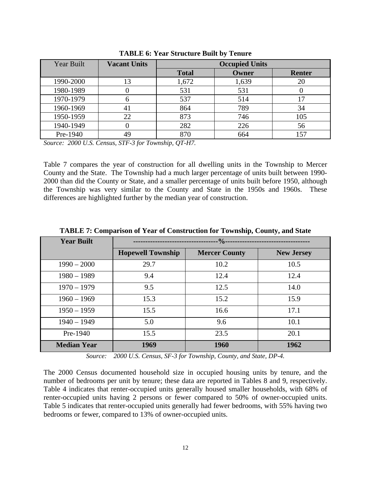| <b>Year Built</b> | <b>Vacant Units</b> | <b>Occupied Units</b> |       |               |  |
|-------------------|---------------------|-----------------------|-------|---------------|--|
|                   |                     | <b>Total</b>          | Owner | <b>Renter</b> |  |
| 1990-2000         | 13                  | 1,672                 | 1,639 | 20            |  |
| 1980-1989         |                     | 531                   | 531   |               |  |
| 1970-1979         | b                   | 537                   | 514   |               |  |
| 1960-1969         | 41                  | 864                   | 789   | 34            |  |
| 1950-1959         | 22                  | 873                   | 746   | 105           |  |
| 1940-1949         |                     | 282                   | 226   | 56            |  |
| Pre-1940          | 49                  |                       | 664   | 157           |  |

**TABLE 6: Year Structure Built by Tenure** 

*Source: 2000 U.S. Census, STF-3 for Township, QT-H7.* 

Table 7 compares the year of construction for all dwelling units in the Township to Mercer County and the State. The Township had a much larger percentage of units built between 1990- 2000 than did the County or State, and a smaller percentage of units built before 1950, although the Township was very similar to the County and State in the 1950s and 1960s. These differences are highlighted further by the median year of construction.

| <b>Year Built</b>  | $.9/0 -$                 |                      |                   |  |  |
|--------------------|--------------------------|----------------------|-------------------|--|--|
|                    | <b>Hopewell Township</b> | <b>Mercer County</b> | <b>New Jersey</b> |  |  |
| $1990 - 2000$      | 29.7                     | 10.2                 | 10.5              |  |  |
| $1980 - 1989$      | 9.4                      | 12.4                 | 12.4              |  |  |
| $1970 - 1979$      | 9.5                      | 12.5                 | 14.0              |  |  |
| $1960 - 1969$      | 15.3                     | 15.2                 | 15.9              |  |  |
| $1950 - 1959$      | 15.5                     | 16.6                 | 17.1              |  |  |
| $1940 - 1949$      | 5.0                      | 9.6                  | 10.1              |  |  |
| Pre-1940           | 15.5                     | 23.5                 | 20.1              |  |  |
| <b>Median Year</b> | 1969                     | 1960                 | 1962              |  |  |

**TABLE 7: Comparison of Year of Construction for Township, County, and State** 

*Source: 2000 U.S. Census, SF-3 for Township, County, and State, DP-4.* 

The 2000 Census documented household size in occupied housing units by tenure, and the number of bedrooms per unit by tenure; these data are reported in Tables 8 and 9, respectively. Table 4 indicates that renter-occupied units generally housed smaller households, with 68% of renter-occupied units having 2 persons or fewer compared to 50% of owner-occupied units. Table 5 indicates that renter-occupied units generally had fewer bedrooms, with 55% having two bedrooms or fewer, compared to 13% of owner-occupied units.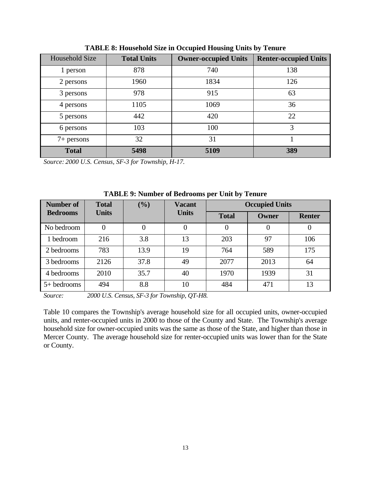| Household Size | <b>Total Units</b> | <b>Owner-occupied Units</b> | <b>Renter-occupied Units</b> |
|----------------|--------------------|-----------------------------|------------------------------|
| 1 person       | 878                | 740                         | 138                          |
| 2 persons      | 1960               | 1834                        | 126                          |
| 3 persons      | 978                | 915                         | 63                           |
| 4 persons      | 1105               | 1069                        | 36                           |
| 5 persons      | 442                | 420                         | 22                           |
| 6 persons      | 103                | 100                         | 3                            |
| $7+$ persons   | 32                 | 31                          |                              |
| <b>Total</b>   | 5498               | 5109                        | 389                          |

**TABLE 8: Household Size in Occupied Housing Units by Tenure** 

*Source: 2000 U.S. Census, SF-3 for Township, H-17.* 

| Number of       | <b>Total</b> | (%)            | <b>Vacant</b> |              | <b>Occupied Units</b> |               |
|-----------------|--------------|----------------|---------------|--------------|-----------------------|---------------|
| <b>Bedrooms</b> | <b>Units</b> |                | <b>Units</b>  | <b>Total</b> | Owner                 | <b>Renter</b> |
| No bedroom      | 0            | $\overline{0}$ |               | 0            |                       | 0             |
| 1 bedroom       | 216          | 3.8            | 13            | 203          | 97                    | 106           |
| 2 bedrooms      | 783          | 13.9           | 19            | 764          | 589                   | 175           |
| 3 bedrooms      | 2126         | 37.8           | 49            | 2077         | 2013                  | 64            |
| 4 bedrooms      | 2010         | 35.7           | 40            | 1970         | 1939                  | 31            |
| $5+$ bedrooms   | 494          | 8.8            | 10            | 484          | 471                   | 13            |

**TABLE 9: Number of Bedrooms per Unit by Tenure** 

*Source: 2000 U.S. Census, SF-3 for Township, QT-H8.* 

Table 10 compares the Township's average household size for all occupied units, owner-occupied units, and renter-occupied units in 2000 to those of the County and State. The Township's average household size for owner-occupied units was the same as those of the State, and higher than those in Mercer County. The average household size for renter-occupied units was lower than for the State or County.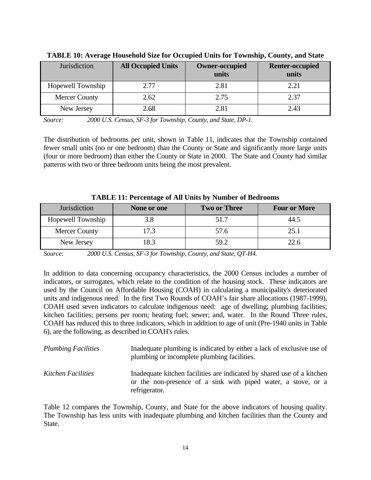| Jurisdiction         | <b>All Occupied Units</b> | <b>Owner-occupied</b><br>units | <b>Renter-occupied</b><br>units |
|----------------------|---------------------------|--------------------------------|---------------------------------|
| Hopewell Township    | 2.77                      | 2.81                           | 2.21                            |
| <b>Mercer County</b> | 2.62                      | 2.75                           | 2.37                            |
| New Jersey           | 2.68                      | 2.81                           | 2.43                            |

**TABLE 10: Average Household Size for Occupied Units for Township, County, and State** 

*Source: 2000 U.S. Census, SF-3 for Township, County, and State, DP-1.* 

The distribution of bedrooms per unit, shown in Table 11, indicates that the Township contained fewer small units (no or one bedroom) than the County or State and significantly more large units (four or more bedroom) than either the County or State in 2000. The State and County had similar patterns with two or three bedroom units being the most prevalent.

| Jurisdiction         | None or one | <b>Two or Three</b> | <b>Four or More</b> |
|----------------------|-------------|---------------------|---------------------|
| Hopewell Township    | 3.8         | 51.7                | 44.5                |
| <b>Mercer County</b> | 17.3        | 57.6                | 25.1                |
| New Jersey           | 18.3        | 59.2                | 22.6                |

**TABLE 11: Percentage of All Units by Number of Bedrooms** 

*Source: 2000 U.S. Census, SF-3 for Township, County, and State, QT-H4.* 

In addition to data concerning occupancy characteristics, the 2000 Census includes a number of indicators, or surrogates, which relate to the condition of the housing stock. These indicators are used by the Council on Affordable Housing (COAH) in calculating a municipality's deteriorated units and indigenous need. In the first Two Rounds of COAH's fair share allocations (1987-1999), COAH used seven indicators to calculate indigenous need: age of dwelling; plumbing facilities; kitchen facilities; persons per room; heating fuel; sewer; and, water. In the Round Three rules, COAH has reduced this to three indicators, which in addition to age of unit (Pre-1940 units in Table 6), are the following, as described in COAH's rules.

| <b>Plumbing Facilities</b> | Inadequate plumbing is indicated by either a lack of exclusive use of<br>plumbing or incomplete plumbing facilities.                                     |  |  |
|----------------------------|----------------------------------------------------------------------------------------------------------------------------------------------------------|--|--|
| Kitchen Facilities         | Inadequate kitchen facilities are indicated by shared use of a kitchen<br>or the non-presence of a sink with piped water, a stove, or a<br>refrigerator. |  |  |

Table 12 compares the Township, County, and State for the above indicators of housing quality. The Township has less units with inadequate plumbing and kitchen facilities than the County and State.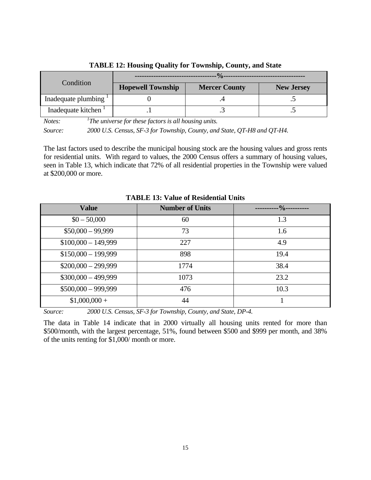| Condition           | <b>Hopewell Township</b> | <b>Mercer County</b> | <b>New Jersey</b> |  |
|---------------------|--------------------------|----------------------|-------------------|--|
| Inadequate plumbing |                          |                      |                   |  |
| Inadequate kitchen  |                          |                      |                   |  |

**TABLE 12: Housing Quality for Township, County, and State** 

*Notes: 1The universe for these factors is all housing units.* 

*Source: 2000 U.S. Census, SF-3 for Township, County, and State, QT-H8 and QT-H4.* 

The last factors used to describe the municipal housing stock are the housing values and gross rents for residential units. With regard to values, the 2000 Census offers a summary of housing values, seen in Table 13, which indicate that 72% of all residential properties in the Township were valued at \$200,000 or more.

| <b>Value</b>         | <b>Number of Units</b> | $\frac{0}{0}$ |
|----------------------|------------------------|---------------|
| $$0 - 50,000$        | 60                     | 1.3           |
| $$50,000 - 99,999$   | 73                     | 1.6           |
| $$100,000 - 149,999$ | 227                    | 4.9           |
| $$150,000 - 199,999$ | 898                    | 19.4          |
| $$200,000 - 299,999$ | 1774                   | 38.4          |
| $$300,000 - 499,999$ | 1073                   | 23.2          |
| $$500,000 - 999,999$ | 476                    | 10.3          |
| $$1,000,000 +$       | 44                     |               |

**TABLE 13: Value of Residential Units** 

*Source: 2000 U.S. Census, SF-3 for Township, County, and State, DP-4.* 

The data in Table 14 indicate that in 2000 virtually all housing units rented for more than \$500/month, with the largest percentage, 51%, found between \$500 and \$999 per month, and 38% of the units renting for \$1,000/ month or more.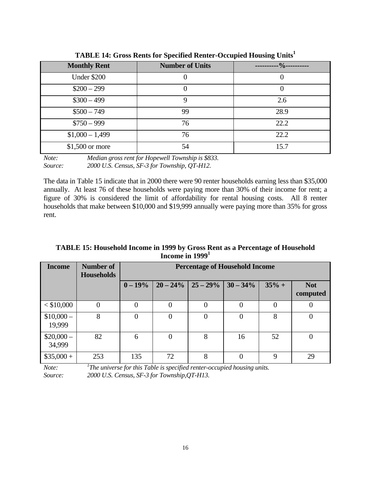| <b>Monthly Rent</b> | <b>Number of Units</b> | $.9/0 -$ |
|---------------------|------------------------|----------|
| <b>Under \$200</b>  |                        |          |
| $$200 - 299$        |                        |          |
| $$300 - 499$        | Q                      | 2.6      |
| $$500 - 749$        | 99                     | 28.9     |
| $$750 - 999$        | 76                     | 22.2     |
| $$1,000 - 1,499$    | 76                     | 22.2     |
| $$1,500$ or more    | 54                     | 15.7     |

**TABLE 14: Gross Rents for Specified Renter-Occupied Housing Units1**

*Note: Median gross rent for Hopewell Township is \$833. Source: 2000 U.S. Census, SF-3 for Township, QT-H12.* 

The data in Table 15 indicate that in 2000 there were 90 renter households earning less than \$35,000 annually. At least 76 of these households were paying more than 30% of their income for rent; a figure of 30% is considered the limit of affordability for rental housing costs. All 8 renter households that make between \$10,000 and \$19,999 annually were paying more than 35% for gross rent.

**TABLE 15: Household Income in 1999 by Gross Rent as a Percentage of Household Income in 19991**

| <b>Income</b>        | Number of<br><b>Households</b> |                | <b>Percentage of Household Income</b> |             |             |             |                        |
|----------------------|--------------------------------|----------------|---------------------------------------|-------------|-------------|-------------|------------------------|
|                      |                                | $0 - 19\%$     | $20 - 24\%$                           | $25 - 29\%$ | $30 - 34\%$ | $35% +$     | <b>Not</b><br>computed |
| $<$ \$10,000         | $\overline{0}$                 | $\overline{0}$ | $\theta$                              | $\theta$    | $\Omega$    | $\theta$    |                        |
| $$10,000-$<br>19,999 | 8                              | $\theta$       |                                       | $\theta$    |             | 8           | $\Omega$               |
| $$20,000-$<br>34,999 | 82                             | 6              |                                       | 8           | 16          | 52          |                        |
| $$35,000 +$          | 253                            | 135            | 72                                    | 8           | 0           | $\mathbf Q$ | 29                     |

*Note:* <sup>1</sup>The universe for this Table is specified renter-occupied housing units. *Source: 2000 U.S. Census, SF-3 for Township,QT-H13.*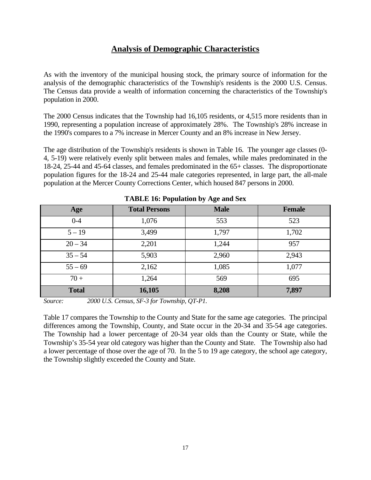# **Analysis of Demographic Characteristics**

As with the inventory of the municipal housing stock, the primary source of information for the analysis of the demographic characteristics of the Township's residents is the 2000 U.S. Census. The Census data provide a wealth of information concerning the characteristics of the Township's population in 2000.

The 2000 Census indicates that the Township had 16,105 residents, or 4,515 more residents than in 1990, representing a population increase of approximately 28%. The Township's 28% increase in the 1990's compares to a 7% increase in Mercer County and an 8% increase in New Jersey.

The age distribution of the Township's residents is shown in Table 16. The younger age classes (0- 4, 5-19) were relatively evenly split between males and females, while males predominated in the 18-24, 25-44 and 45-64 classes, and females predominated in the 65+ classes. The disproportionate population figures for the 18-24 and 25-44 male categories represented, in large part, the all-male population at the Mercer County Corrections Center, which housed 847 persons in 2000.

| <b>Age</b>   | <b>Total Persons</b> | <b>Male</b> | Female |  |  |
|--------------|----------------------|-------------|--------|--|--|
| $0 - 4$      | 1,076                | 553         | 523    |  |  |
| $5 - 19$     | 3,499                | 1,797       | 1,702  |  |  |
| $20 - 34$    | 2,201                | 1,244       | 957    |  |  |
| $35 - 54$    | 5,903                | 2,960       | 2,943  |  |  |
| $55 - 69$    | 2,162                | 1,085       | 1,077  |  |  |
| $70 +$       | 1,264                | 569         | 695    |  |  |
| <b>Total</b> | 16,105               | 8,208       | 7,897  |  |  |

**TABLE 16: Population by Age and Sex** 

*Source: 2000 U.S. Census, SF-3 for Township, QT-P1.* 

Table 17 compares the Township to the County and State for the same age categories. The principal differences among the Township, County, and State occur in the 20-34 and 35-54 age categories. The Township had a lower percentage of 20-34 year olds than the County or State, while the Township's 35-54 year old category was higher than the County and State. The Township also had a lower percentage of those over the age of 70. In the 5 to 19 age category, the school age category, the Township slightly exceeded the County and State.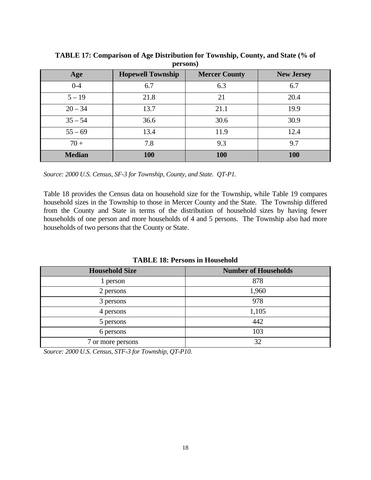| Age           | <b>Hopewell Township</b> | <b>Mercer County</b> | <b>New Jersey</b> |  |  |
|---------------|--------------------------|----------------------|-------------------|--|--|
| $0 - 4$       | 6.7                      | 6.3                  | 6.7               |  |  |
| $5 - 19$      | 21.8                     | 21                   | 20.4              |  |  |
| $20 - 34$     | 13.7                     | 21.1                 | 19.9              |  |  |
| $35 - 54$     | 36.6                     | 30.6                 | 30.9              |  |  |
| $55 - 69$     | 13.4                     | 11.9                 | 12.4              |  |  |
| $70 +$        | 7.8                      | 9.3                  | 9.7               |  |  |
| <b>Median</b> | <b>100</b>               | 100                  | 100               |  |  |

**TABLE 17: Comparison of Age Distribution for Township, County, and State (% of persons)** 

*Source: 2000 U.S. Census, SF-3 for Township, County, and State. QT-P1.* 

Table 18 provides the Census data on household size for the Township, while Table 19 compares household sizes in the Township to those in Mercer County and the State. The Township differed from the County and State in terms of the distribution of household sizes by having fewer households of one person and more households of 4 and 5 persons. The Township also had more households of two persons that the County or State.

**TABLE 18: Persons in Household** 

| <b>Household Size</b> | <b>Number of Households</b> |
|-----------------------|-----------------------------|
| 1 person              | 878                         |
| 2 persons             | 1,960                       |
| 3 persons             | 978                         |
| 4 persons             | 1,105                       |
| 5 persons             | 442                         |
| 6 persons             | 103                         |
| 7 or more persons     | 32                          |

*Source: 2000 U.S. Census, STF-3 for Township, QT-P10.*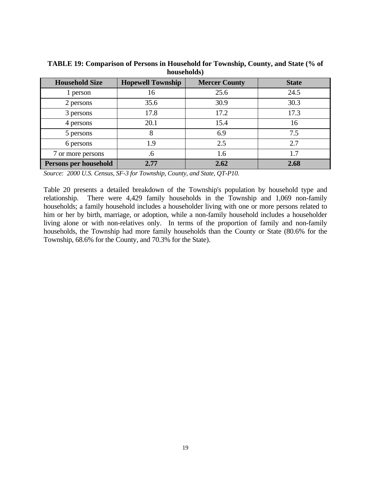| 1100000110100         |                          |                      |              |  |  |
|-----------------------|--------------------------|----------------------|--------------|--|--|
| <b>Household Size</b> | <b>Hopewell Township</b> | <b>Mercer County</b> | <b>State</b> |  |  |
| 1 person              | 16                       | 25.6                 | 24.5         |  |  |
| 2 persons             | 35.6                     | 30.9                 | 30.3         |  |  |
| 3 persons             | 17.8                     | 17.2                 | 17.3         |  |  |
| 4 persons             | 20.1                     | 15.4                 | 16           |  |  |
| 5 persons             | 8                        | 6.9                  | 7.5          |  |  |
| 6 persons             | 1.9                      | 2.5                  | 2.7          |  |  |
| 7 or more persons     | .6                       | 1.6                  | 1.7          |  |  |
| Persons per household | 2.77                     | 2.62                 | 2.68         |  |  |

**TABLE 19: Comparison of Persons in Household for Township, County, and State (% of households)** 

*Source: 2000 U.S. Census, SF-3 for Township, County, and State, QT-P10.* 

Table 20 presents a detailed breakdown of the Township's population by household type and relationship. There were 4,429 family households in the Township and 1,069 non-family households; a family household includes a householder living with one or more persons related to him or her by birth, marriage, or adoption, while a non-family household includes a householder living alone or with non-relatives only. In terms of the proportion of family and non-family households, the Township had more family households than the County or State (80.6% for the Township, 68.6% for the County, and 70.3% for the State).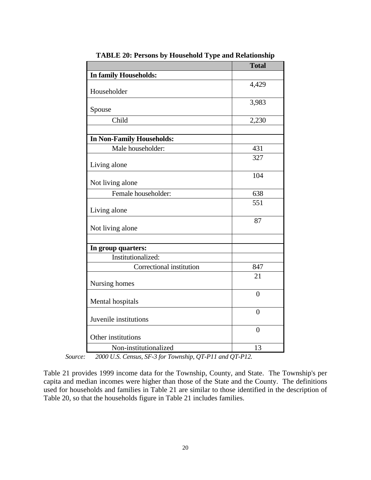|                                  | <b>Total</b>   |
|----------------------------------|----------------|
| In family Households:            |                |
|                                  | 4,429          |
| Householder                      |                |
|                                  | 3,983          |
| Spouse                           |                |
| Child                            | 2,230          |
| <b>In Non-Family Households:</b> |                |
| Male householder:                | 431            |
|                                  | 327            |
| Living alone                     |                |
|                                  | 104            |
| Not living alone                 |                |
| Female householder:              | 638            |
|                                  | 551            |
| Living alone                     |                |
|                                  | 87             |
| Not living alone                 |                |
|                                  |                |
| In group quarters:               |                |
| Institutionalized:               |                |
| Correctional institution         | 847            |
| Nursing homes                    | 21             |
|                                  |                |
| Mental hospitals                 | $\theta$       |
|                                  | $\overline{0}$ |
| Juvenile institutions            |                |
|                                  | $\overline{0}$ |
| Other institutions               |                |
| Non-institutionalized            | 13             |

**TABLE 20: Persons by Household Type and Relationship** 

 *Source: 2000 U.S. Census, SF-3 for Township, QT-P11 and QT-P12.* 

Table 21 provides 1999 income data for the Township, County, and State. The Township's per capita and median incomes were higher than those of the State and the County. The definitions used for households and families in Table 21 are similar to those identified in the description of Table 20, so that the households figure in Table 21 includes families.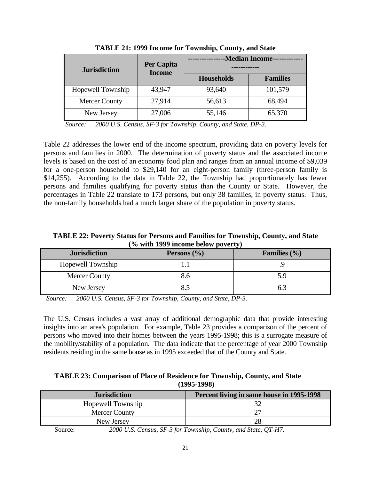| <b>Jurisdiction</b>  | Per Capita<br><b>Income</b> | <b>-Median Income----</b> |                 |
|----------------------|-----------------------------|---------------------------|-----------------|
|                      |                             | <b>Households</b>         | <b>Families</b> |
| Hopewell Township    | 43,947                      | 93,640                    | 101,579         |
| <b>Mercer County</b> | 27,914                      | 56,613                    | 68,494          |
| New Jersey           | 27,006                      | 55,146                    | 65,370          |

**TABLE 21: 1999 Income for Township, County, and State** 

*Source: 2000 U.S. Census, SF-3 for Township, County, and State, DP-3.* 

Table 22 addresses the lower end of the income spectrum, providing data on poverty levels for persons and families in 2000. The determination of poverty status and the associated income levels is based on the cost of an economy food plan and ranges from an annual income of \$9,039 for a one-person household to \$29,140 for an eight-person family (three-person family is \$14,255). According to the data in Table 22, the Township had proportionately has fewer persons and families qualifying for poverty status than the County or State. However, the percentages in Table 22 translate to 173 persons, but only 38 families, in poverty status. Thus, the non-family households had a much larger share of the population in poverty status.

**TABLE 22: Poverty Status for Persons and Families for Township, County, and State (% with 1999 income below poverty)** 

| <b>Jurisdiction</b>  | Persons $(\% )$ | Families $(\% )$ |
|----------------------|-----------------|------------------|
|                      |                 |                  |
| Hopewell Township    |                 |                  |
| <b>Mercer County</b> |                 | 5.9              |
| New Jersey           |                 |                  |

*Source: 2000 U.S. Census, SF-3 for Township, County, and State, DP-3.* 

The U.S. Census includes a vast array of additional demographic data that provide interesting insights into an area's population. For example, Table 23 provides a comparison of the percent of persons who moved into their homes between the years 1995-1998; this is a surrogate measure of the mobility/stability of a population. The data indicate that the percentage of year 2000 Township residents residing in the same house as in 1995 exceeded that of the County and State.

| TABLE 23: Comparison of Place of Residence for Township, County, and State |
|----------------------------------------------------------------------------|
| $(1995-1998)$                                                              |

| <b>Jurisdiction</b>                                               | Percent living in same house in 1995-1998                 |
|-------------------------------------------------------------------|-----------------------------------------------------------|
| Hopewell Township                                                 |                                                           |
| Mercer County                                                     |                                                           |
| New Jersey                                                        |                                                           |
| $\mathbf{S}_{\mathbf{O}\mathbf{H}\mathbf{R}\mathbf{O}}\mathbf{S}$ | 2000 U.S. Consus SE 3 for Township County and State OT H7 |

Source: *2000 U.S. Census, SF-3 for Township, County, and State, QT-H7.*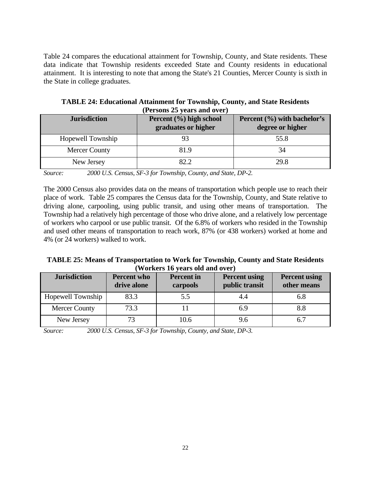Table 24 compares the educational attainment for Township, County, and State residents. These data indicate that Township residents exceeded State and County residents in educational attainment. It is interesting to note that among the State's 21 Counties, Mercer County is sixth in the State in college graduates.

| <b>Jurisdiction</b>  | Percent (%) high school<br>graduates or higher | Percent (%) with bachelor's<br>degree or higher |
|----------------------|------------------------------------------------|-------------------------------------------------|
| Hopewell Township    |                                                | 55.8                                            |
| <b>Mercer County</b> | 81.9                                           | 34                                              |
| New Jersey           | 82.2                                           | 29.8                                            |

**TABLE 24: Educational Attainment for Township, County, and State Residents (Persons 25 years and over)** 

*Source: 2000 U.S. Census, SF-3 for Township, County, and State, DP-2.* 

The 2000 Census also provides data on the means of transportation which people use to reach their place of work. Table 25 compares the Census data for the Township, County, and State relative to driving alone, carpooling, using public transit, and using other means of transportation. The Township had a relatively high percentage of those who drive alone, and a relatively low percentage of workers who carpool or use public transit. Of the 6.8% of workers who resided in the Township and used other means of transportation to reach work, 87% (or 438 workers) worked at home and 4% (or 24 workers) walked to work.

| <b>TABLE 25: Means of Transportation to Work for Township, County and State Residents</b> |
|-------------------------------------------------------------------------------------------|
| (Workers 16 years old and over)                                                           |

| <b>Jurisdiction</b>  | <b>Percent who</b><br>drive alone | <b>Percent</b> in<br>carpools | <b>Percent using</b><br>public transit | <b>Percent using</b><br>other means |
|----------------------|-----------------------------------|-------------------------------|----------------------------------------|-------------------------------------|
| Hopewell Township    | 83.3                              | 5.5                           | 4.4                                    | 6.8                                 |
| <b>Mercer County</b> | 73.3                              |                               | 6.9                                    |                                     |
| New Jersey           |                                   | 10.6                          | 9.6                                    |                                     |

*Source: 2000 U.S. Census, SF-3 for Township, County, and State, DP-3.*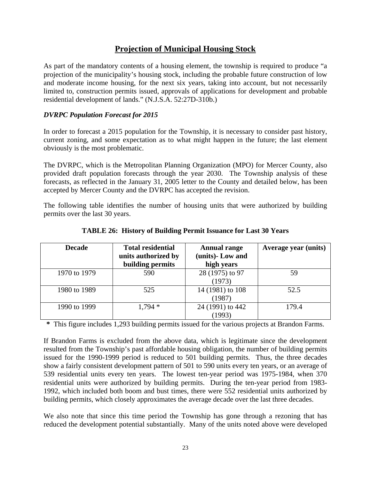# **Projection of Municipal Housing Stock**

As part of the mandatory contents of a housing element, the township is required to produce "a projection of the municipality's housing stock, including the probable future construction of low and moderate income housing, for the next six years, taking into account, but not necessarily limited to, construction permits issued, approvals of applications for development and probable residential development of lands." (N.J.S.A. 52:27D-310b.)

# *DVRPC Population Forecast for 2015*

In order to forecast a 2015 population for the Township, it is necessary to consider past history, current zoning, and some expectation as to what might happen in the future; the last element obviously is the most problematic.

The DVRPC, which is the Metropolitan Planning Organization (MPO) for Mercer County, also provided draft population forecasts through the year 2030. The Township analysis of these forecasts, as reflected in the January 31, 2005 letter to the County and detailed below, has been accepted by Mercer County and the DVRPC has accepted the revision.

The following table identifies the number of housing units that were authorized by building permits over the last 30 years.

| <b>Decade</b> | <b>Total residential</b> | <b>Annual range</b> | Average year (units) |
|---------------|--------------------------|---------------------|----------------------|
|               | units authorized by      | (units)-Low and     |                      |
|               | building permits         | high years          |                      |
| 1970 to 1979  | 590                      | 28 (1975) to 97     | 59                   |
|               |                          | (1973)              |                      |
| 1980 to 1989  | 525                      | 14 (1981) to 108    | 52.5                 |
|               |                          | (1987)              |                      |
| 1990 to 1999  | $1,794*$                 | 24 (1991) to 442    | 179.4                |
|               |                          | (1993)              |                      |

**TABLE 26: History of Building Permit Issuance for Last 30 Years** 

**\*** This figure includes 1,293 building permits issued for the various projects at Brandon Farms.

If Brandon Farms is excluded from the above data, which is legitimate since the development resulted from the Township's past affordable housing obligation, the number of building permits issued for the 1990-1999 period is reduced to 501 building permits. Thus, the three decades show a fairly consistent development pattern of 501 to 590 units every ten years, or an average of 539 residential units every ten years. The lowest ten-year period was 1975-1984, when 370 residential units were authorized by building permits. During the ten-year period from 1983- 1992, which included both boom and bust times, there were 552 residential units authorized by building permits, which closely approximates the average decade over the last three decades.

We also note that since this time period the Township has gone through a rezoning that has reduced the development potential substantially. Many of the units noted above were developed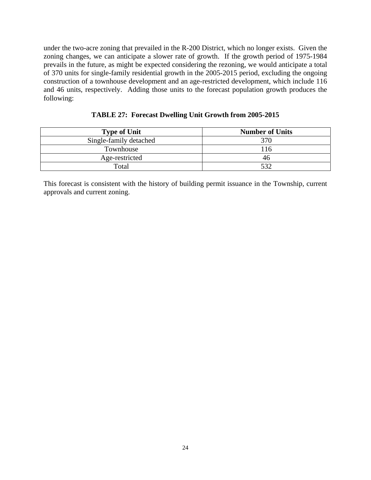under the two-acre zoning that prevailed in the R-200 District, which no longer exists. Given the zoning changes, we can anticipate a slower rate of growth. If the growth period of 1975-1984 prevails in the future, as might be expected considering the rezoning, we would anticipate a total of 370 units for single-family residential growth in the 2005-2015 period, excluding the ongoing construction of a townhouse development and an age-restricted development, which include 116 and 46 units, respectively. Adding those units to the forecast population growth produces the following:

**TABLE 27: Forecast Dwelling Unit Growth from 2005-2015** 

| <b>Type of Unit</b>    | <b>Number of Units</b> |
|------------------------|------------------------|
| Single-family detached | 370                    |
| Townhouse              | 116                    |
| Age-restricted         | 46                     |
| Total                  | 532                    |

This forecast is consistent with the history of building permit issuance in the Township, current approvals and current zoning.